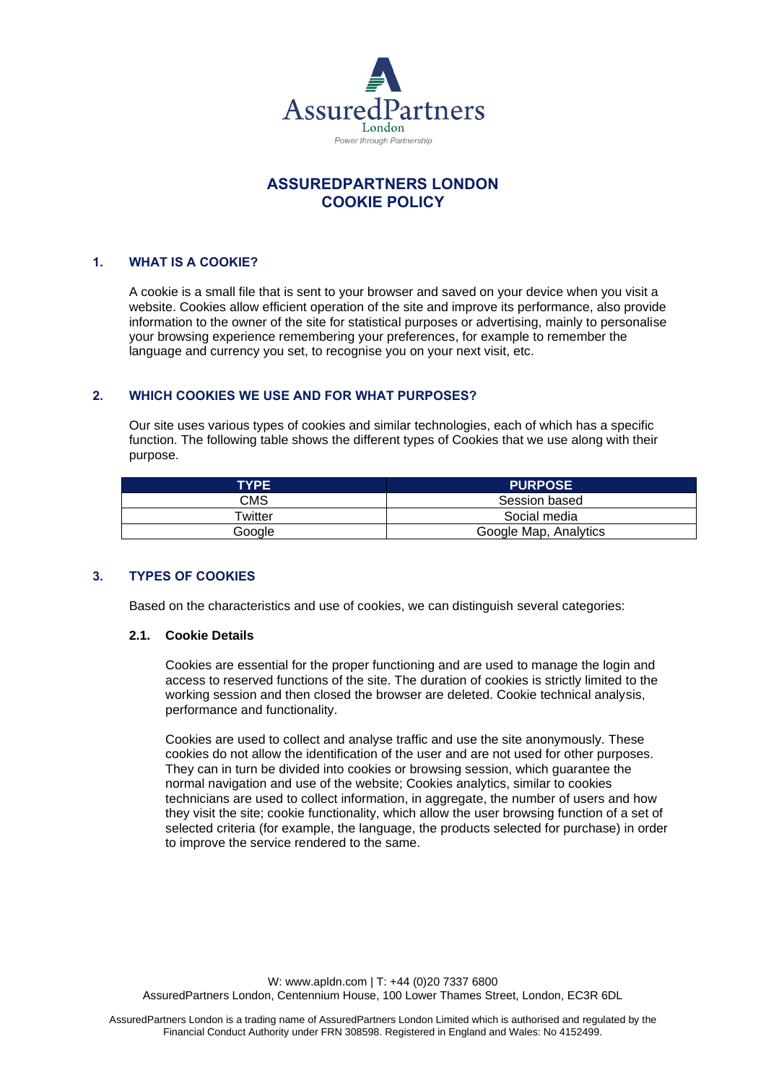

# **ASSUREDPARTNERS LONDON COOKIE POLICY**

## **1. WHAT IS A COOKIE?**

A cookie is a small file that is sent to your browser and saved on your device when you visit a website. Cookies allow efficient operation of the site and improve its performance, also provide information to the owner of the site for statistical purposes or advertising, mainly to personalise your browsing experience remembering your preferences, for example to remember the language and currency you set, to recognise you on your next visit, etc.

## **2. WHICH COOKIES WE USE AND FOR WHAT PURPOSES?**

Our site uses various types of cookies and similar technologies, each of which has a specific function. The following table shows the different types of Cookies that we use along with their purpose.

| <b>TYPE</b> | <b>PURPOSE</b>        |
|-------------|-----------------------|
| CMS         | Session based         |
| Twitter     | Social media          |
| Google      | Google Map, Analytics |

## **3. TYPES OF COOKIES**

Based on the characteristics and use of cookies, we can distinguish several categories:

#### **2.1. Cookie Details**

Cookies are essential for the proper functioning and are used to manage the login and access to reserved functions of the site. The duration of cookies is strictly limited to the working session and then closed the browser are deleted. Cookie technical analysis, performance and functionality.

Cookies are used to collect and analyse traffic and use the site anonymously. These cookies do not allow the identification of the user and are not used for other purposes. They can in turn be divided into cookies or browsing session, which guarantee the normal navigation and use of the website; Cookies analytics, similar to cookies technicians are used to collect information, in aggregate, the number of users and how they visit the site; cookie functionality, which allow the user browsing function of a set of selected criteria (for example, the language, the products selected for purchase) in order to improve the service rendered to the same.